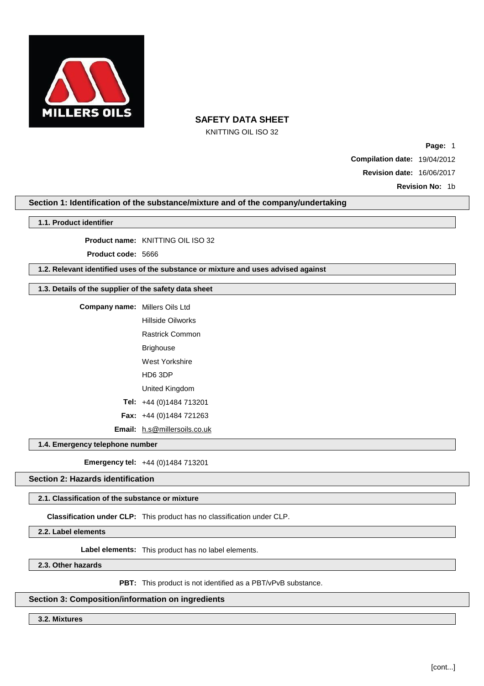

KNITTING OIL ISO 32

**Page:** 1

**Compilation date:** 19/04/2012

**Revision date:** 16/06/2017

**Revision No:** 1b

# **Section 1: Identification of the substance/mixture and of the company/undertaking**

## **1.1. Product identifier**

**Product name:** KNITTING OIL ISO 32

**Product code:** 5666

# **1.2. Relevant identified uses of the substance or mixture and uses advised against**

# **1.3. Details of the supplier of the safety data sheet**

| <b>Company name:</b> Millers Oils Ltd |                                     |
|---------------------------------------|-------------------------------------|
|                                       | Hillside Oilworks                   |
|                                       | <b>Rastrick Common</b>              |
|                                       | Brighouse                           |
|                                       | West Yorkshire                      |
|                                       | HD6 3DP                             |
|                                       | United Kingdom                      |
|                                       | Tel: $+44(0)1484713201$             |
|                                       | <b>Fax:</b> $+44$ (0)1484 721263    |
|                                       | <b>Email:</b> h.s@millersoils.co.uk |

**1.4. Emergency telephone number**

**Emergency tel:** +44 (0)1484 713201

## **Section 2: Hazards identification**

## **2.1. Classification of the substance or mixture**

**Classification under CLP:** This product has no classification under CLP.

**2.2. Label elements**

**Label elements:** This product has no label elements.

**2.3. Other hazards**

**PBT:** This product is not identified as a PBT/vPvB substance.

### **Section 3: Composition/information on ingredients**

**3.2. Mixtures**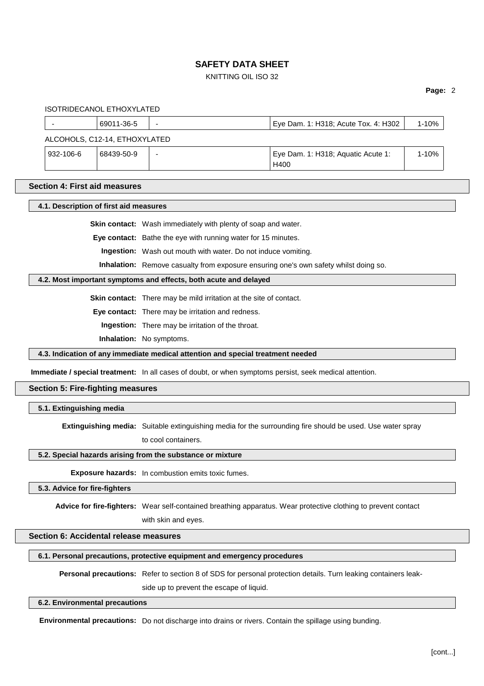## KNITTING OIL ISO 32

#### **Page:** 2

ISOTRIDECANOL ETHOXYLATED

|                               | 69011-36-5 | - | Eye Dam. 1: H318; Acute Tox. 4: H302       | $1 - 10%$ |  |
|-------------------------------|------------|---|--------------------------------------------|-----------|--|
| ALCOHOLS, C12-14, ETHOXYLATED |            |   |                                            |           |  |
| 932-106-6                     | 68439-50-9 | - | Eye Dam. 1: H318; Aguatic Acute 1:<br>H400 | $1 - 10%$ |  |

## **Section 4: First aid measures**

**4.1. Description of first aid measures**

**Skin contact:** Wash immediately with plenty of soap and water.

**Eye contact:** Bathe the eye with running water for 15 minutes.

**Ingestion:** Wash out mouth with water. Do not induce vomiting.

**Inhalation:** Remove casualty from exposure ensuring one's own safety whilst doing so.

## **4.2. Most important symptoms and effects, both acute and delayed**

**Skin contact:** There may be mild irritation at the site of contact.

**Eye contact:** There may be irritation and redness.

**Ingestion:** There may be irritation of the throat.

**Inhalation:** No symptoms.

#### **4.3. Indication of any immediate medical attention and special treatment needed**

**Immediate / special treatment:** In all cases of doubt, or when symptoms persist, seek medical attention.

# **Section 5: Fire-fighting measures**

**5.1. Extinguishing media**

**Extinguishing media:** Suitable extinguishing media for the surrounding fire should be used. Use water spray

to cool containers.

## **5.2. Special hazards arising from the substance or mixture**

**Exposure hazards:** In combustion emits toxic fumes.

## **5.3. Advice for fire-fighters**

**Advice for fire-fighters:** Wear self-contained breathing apparatus. Wear protective clothing to prevent contact

with skin and eyes.

# **Section 6: Accidental release measures**

**6.1. Personal precautions, protective equipment and emergency procedures**

**Personal precautions:** Refer to section 8 of SDS for personal protection details. Turn leaking containers leak-

side up to prevent the escape of liquid.

#### **6.2. Environmental precautions**

**Environmental precautions:** Do not discharge into drains or rivers. Contain the spillage using bunding.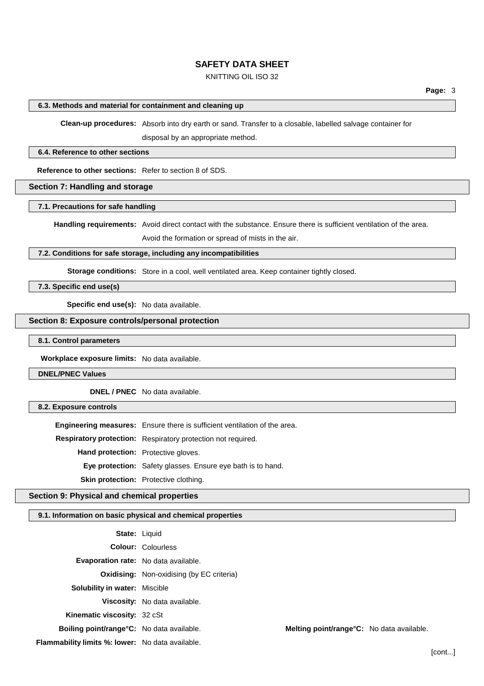## KNITTING OIL ISO 32

### **6.3. Methods and material for containment and cleaning up**

**Clean-up procedures:** Absorb into dry earth or sand. Transfer to a closable, labelled salvage container for

disposal by an appropriate method.

#### **6.4. Reference to other sections**

**Reference to other sections:** Refer to section 8 of SDS.

## **Section 7: Handling and storage**

# **7.1. Precautions for safe handling**

**Handling requirements:** Avoid direct contact with the substance. Ensure there is sufficient ventilation of the area.

Avoid the formation or spread of mists in the air.

# **7.2. Conditions for safe storage, including any incompatibilities**

**Storage conditions:** Store in a cool, well ventilated area. Keep container tightly closed.

**7.3. Specific end use(s)**

**Specific end use(s):** No data available.

## **Section 8: Exposure controls/personal protection**

**8.1. Control parameters**

**Workplace exposure limits:** No data available.

**DNEL/PNEC Values**

**DNEL / PNEC** No data available.

**8.2. Exposure controls**

**Engineering measures:** Ensure there is sufficient ventilation of the area. **Respiratory protection:** Respiratory protection not required. **Hand protection:** Protective gloves. **Eye protection:** Safety glasses. Ensure eye bath is to hand. **Skin protection:** Protective clothing.

## **Section 9: Physical and chemical properties**

## **9.1. Information on basic physical and chemical properties**

|                                                  | <b>State: Liquid</b>                             |                                           |  |
|--------------------------------------------------|--------------------------------------------------|-------------------------------------------|--|
|                                                  | <b>Colour: Colourless</b>                        |                                           |  |
| Evaporation rate: No data available.             |                                                  |                                           |  |
|                                                  | <b>Oxidising:</b> Non-oxidising (by EC criteria) |                                           |  |
| <b>Solubility in water: Miscible</b>             |                                                  |                                           |  |
|                                                  | Viscosity: No data available.                    |                                           |  |
| Kinematic viscosity: 32 cSt                      |                                                  |                                           |  |
| Boiling point/range°C: No data available.        |                                                  | Melting point/range°C: No data available. |  |
| Flammability limits %: lower: No data available. |                                                  |                                           |  |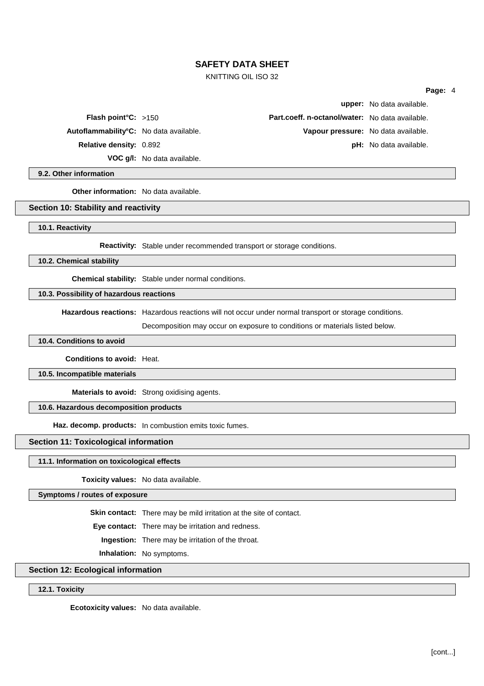## KNITTING OIL ISO 32

**VOC g/l:** No data available.

**upper:** No data available. **Flash point°C:** >150 **Part.coeff. n-octanol/water:** No data available. **Autoflammability°C:** No data available. **Vapour pressure:** No data available. **Relative density:** 0.892 **pH:** No data available.

**9.2. Other information**

**Other information:** No data available.

#### **Section 10: Stability and reactivity**

**10.1. Reactivity**

**Reactivity:** Stable under recommended transport or storage conditions.

**10.2. Chemical stability**

**Chemical stability:** Stable under normal conditions.

#### **10.3. Possibility of hazardous reactions**

**Hazardous reactions:** Hazardous reactions will not occur under normal transport or storage conditions.

Decomposition may occur on exposure to conditions or materials listed below.

## **10.4. Conditions to avoid**

**Conditions to avoid:** Heat.

#### **10.5. Incompatible materials**

**Materials to avoid:** Strong oxidising agents.

## **10.6. Hazardous decomposition products**

**Haz. decomp. products:** In combustion emits toxic fumes.

## **Section 11: Toxicological information**

#### **11.1. Information on toxicological effects**

**Toxicity values:** No data available.

**Symptoms / routes of exposure**

**Skin contact:** There may be mild irritation at the site of contact.

**Eye contact:** There may be irritation and redness.

**Ingestion:** There may be irritation of the throat.

**Inhalation:** No symptoms.

# **Section 12: Ecological information**

## **12.1. Toxicity**

**Ecotoxicity values:** No data available.